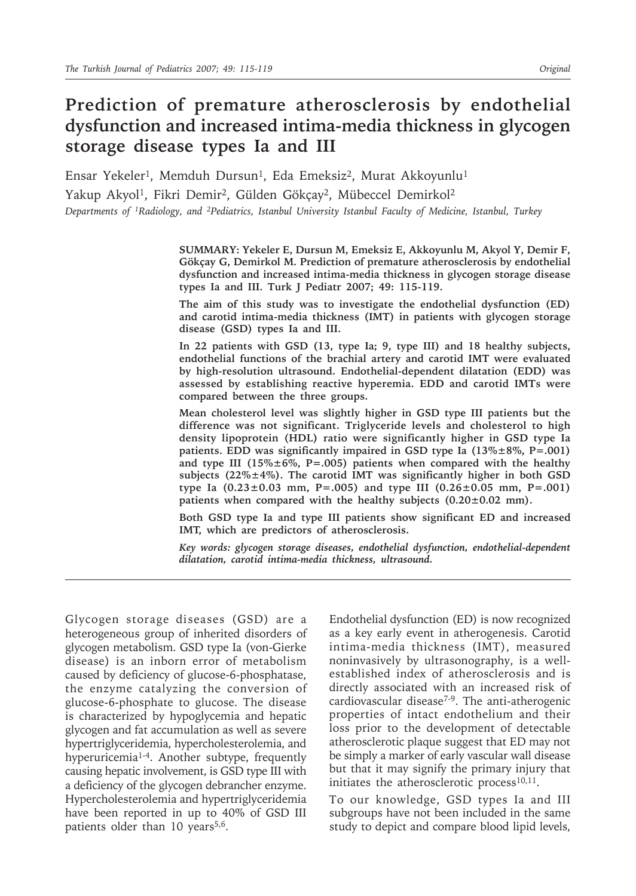# **Prediction of premature atherosclerosis by endothelial dysfunction and increased intima-media thickness in glycogen storage disease types Ia and III**

Ensar Yekeler<sup>1</sup>, Memduh Dursun<sup>1</sup>, Eda Emeksiz<sup>2</sup>, Murat Akkoyunlu<sup>1</sup> Yakup Akyol<sup>1</sup>, Fikri Demir<sup>2</sup>, Gülden Gökçay<sup>2</sup>, Mübeccel Demirkol<sup>2</sup> *Departments of 1Radiology, and 2Pediatrics, Istanbul University Istanbul Faculty of Medicine, Istanbul, Turkey*

> **SUMMARY: Yekeler E, Dursun M, Emeksiz E, Akkoyunlu M, Akyol Y, Demir F, Gökçay G, Demirkol M. Prediction of premature atherosclerosis by endothelial dysfunction and increased intima-media thickness in glycogen storage disease types Ia and III. Turk J Pediatr 2007; 49: 115-119.**

> **The aim of this study was to investigate the endothelial dysfunction (ED) and carotid intima-media thickness (IMT) in patients with glycogen storage disease (GSD) types Ia and III.**

> **In 22 patients with GSD (13, type Ia; 9, type III) and 18 healthy subjects, endothelial functions of the brachial artery and carotid IMT were evaluated by high-resolution ultrasound. Endothelial-dependent dilatation (EDD) was assessed by establishing reactive hyperemia. EDD and carotid IMTs were compared between the three groups.**

> **Mean cholesterol level was slightly higher in GSD type III patients but the difference was not significant. Triglyceride levels and cholesterol to high density lipoprotein (HDL) ratio were significantly higher in GSD type Ia patients. EDD was significantly impaired in GSD type Ia (13%±8%, P=.001) and type III (15%±6%, P=.005) patients when compared with the healthy subjects (22%±4%). The carotid IMT was significantly higher in both GSD type Ia (0.23±0.03 mm, P=.005) and type III (0.26±0.05 mm, P=.001) patients when compared with the healthy subjects (0.20±0.02 mm).**

> **Both GSD type Ia and type III patients show significant ED and increased IMT, which are predictors of atherosclerosis.**

> *Key words: glycogen storage diseases, endothelial dysfunction, endothelial-dependent dilatation, carotid intima-media thickness, ultrasound.*

Glycogen storage diseases (GSD) are a heterogeneous group of inherited disorders of glycogen metabolism. GSD type Ia (von-Gierke disease) is an inborn error of metabolism caused by deficiency of glucose-6-phosphatase, the enzyme catalyzing the conversion of glucose-6-phosphate to glucose. The disease is characterized by hypoglycemia and hepatic glycogen and fat accumulation as well as severe hypertriglyceridemia, hypercholesterolemia, and hyperuricemia<sup>1-4</sup>. Another subtype, frequently causing hepatic involvement, is GSD type III with a deficiency of the glycogen debrancher enzyme. Hypercholesterolemia and hypertriglyceridemia have been reported in up to 40% of GSD III patients older than 10 years<sup>5,6</sup>.

Endothelial dysfunction (ED) is now recognized as a key early event in atherogenesis. Carotid intima-media thickness (IMT), measured noninvasively by ultrasonography, is a wellestablished index of atherosclerosis and is directly associated with an increased risk of cardiovascular disease<sup> $7-9$ </sup>. The anti-atherogenic properties of intact endothelium and their loss prior to the development of detectable atherosclerotic plaque suggest that ED may not be simply a marker of early vascular wall disease but that it may signify the primary injury that initiates the atherosclerotic process<sup>10,11</sup>.

To our knowledge, GSD types Ia and III subgroups have not been included in the same study to depict and compare blood lipid levels,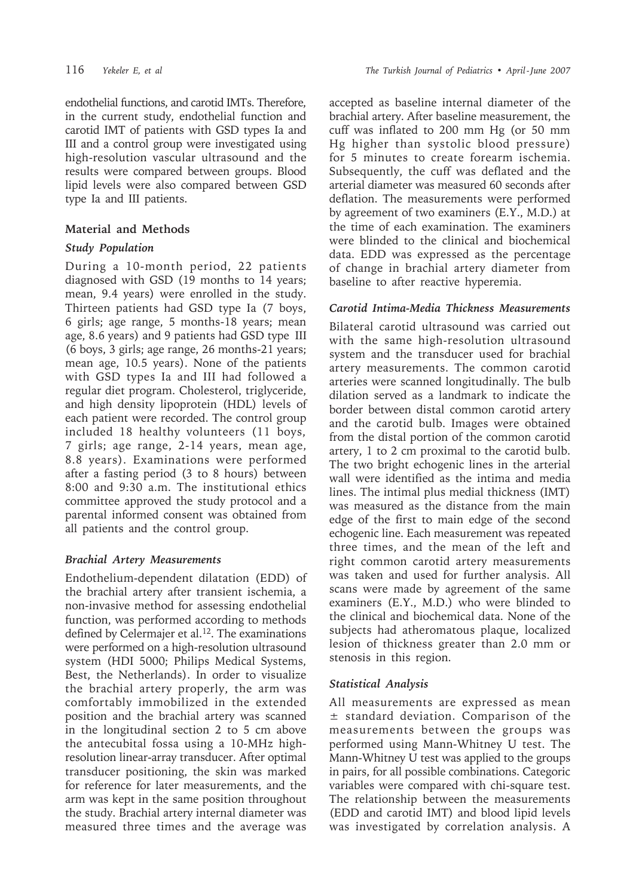endothelial functions, and carotid IMTs. Therefore, in the current study, endothelial function and carotid IMT of patients with GSD types Ia and III and a control group were investigated using high-resolution vascular ultrasound and the results were compared between groups. Blood lipid levels were also compared between GSD type Ia and III patients.

### **Material and Methods**

### *Study Population*

During a 10-month period, 22 patients diagnosed with GSD (19 months to 14 years; mean, 9.4 years) were enrolled in the study. Thirteen patients had GSD type Ia (7 boys, 6 girls; age range, 5 months-18 years; mean age, 8.6 years) and 9 patients had GSD type III (6 boys, 3 girls; age range, 26 months-21 years; mean age, 10.5 years). None of the patients with GSD types Ia and III had followed a regular diet program. Cholesterol, triglyceride, and high density lipoprotein (HDL) levels of each patient were recorded. The control group included 18 healthy volunteers (11 boys, 7 girls; age range, 2-14 years, mean age, 8.8 years). Examinations were performed after a fasting period (3 to 8 hours) between 8:00 and 9:30 a.m. The institutional ethics committee approved the study protocol and a parental informed consent was obtained from all patients and the control group.

### *Brachial Artery Measurements*

Endothelium-dependent dilatation (EDD) of the brachial artery after transient ischemia, a non-invasive method for assessing endothelial function, was performed according to methods defined by Celermajer et al.<sup>12</sup>. The examinations were performed on a high-resolution ultrasound system (HDI 5000; Philips Medical Systems, Best, the Netherlands). In order to visualize the brachial artery properly, the arm was comfortably immobilized in the extended position and the brachial artery was scanned in the longitudinal section 2 to 5 cm above the antecubital fossa using a 10-MHz highresolution linear-array transducer. After optimal transducer positioning, the skin was marked for reference for later measurements, and the arm was kept in the same position throughout the study. Brachial artery internal diameter was measured three times and the average was

accepted as baseline internal diameter of the brachial artery. After baseline measurement, the cuff was inflated to 200 mm Hg (or 50 mm Hg higher than systolic blood pressure) for 5 minutes to create forearm ischemia. Subsequently, the cuff was deflated and the arterial diameter was measured 60 seconds after deflation. The measurements were performed by agreement of two examiners (E.Y., M.D.) at the time of each examination. The examiners were blinded to the clinical and biochemical data. EDD was expressed as the percentage of change in brachial artery diameter from baseline to after reactive hyperemia.

### *Carotid Intima-Media Thickness Measurements*

Bilateral carotid ultrasound was carried out with the same high-resolution ultrasound system and the transducer used for brachial artery measurements. The common carotid arteries were scanned longitudinally. The bulb dilation served as a landmark to indicate the border between distal common carotid artery and the carotid bulb. Images were obtained from the distal portion of the common carotid artery, 1 to 2 cm proximal to the carotid bulb. The two bright echogenic lines in the arterial wall were identified as the intima and media lines. The intimal plus medial thickness (IMT) was measured as the distance from the main edge of the first to main edge of the second echogenic line. Each measurement was repeated three times, and the mean of the left and right common carotid artery measurements was taken and used for further analysis. All scans were made by agreement of the same examiners (E.Y., M.D.) who were blinded to the clinical and biochemical data. None of the subjects had atheromatous plaque, localized lesion of thickness greater than 2.0 mm or stenosis in this region.

### *Statistical Analysis*

All measurements are expressed as mean ± standard deviation. Comparison of the measurements between the groups was performed using Mann-Whitney U test. The Mann-Whitney U test was applied to the groups in pairs, for all possible combinations. Categoric variables were compared with chi-square test. The relationship between the measurements (EDD and carotid IMT) and blood lipid levels was investigated by correlation analysis. A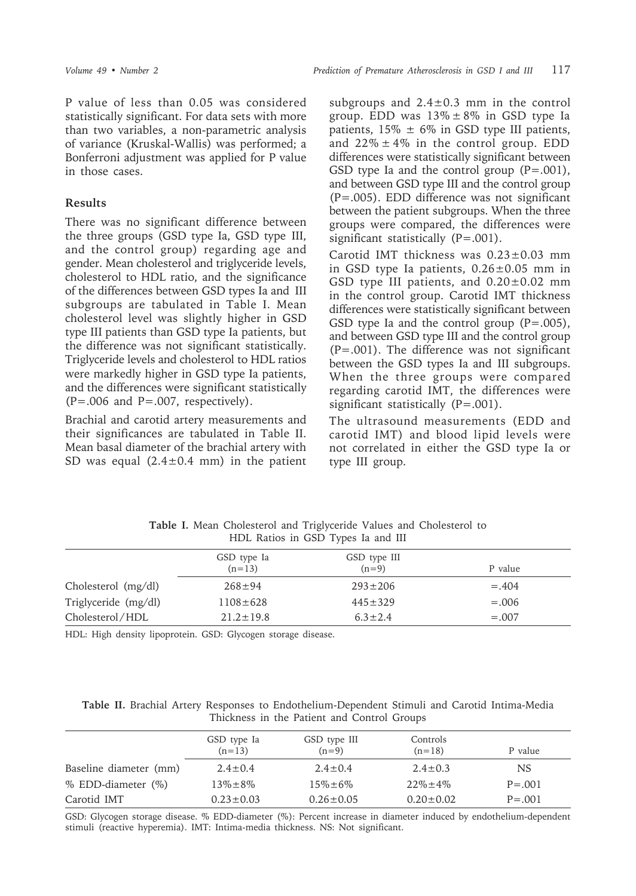P value of less than 0.05 was considered statistically significant. For data sets with more than two variables, a non-parametric analysis of variance (Kruskal-Wallis) was performed; a Bonferroni adjustment was applied for P value in those cases.

#### **Results**

There was no significant difference between the three groups (GSD type Ia, GSD type III, and the control group) regarding age and gender. Mean cholesterol and triglyceride levels, cholesterol to HDL ratio, and the significance of the differences between GSD types Ia and III subgroups are tabulated in Table I. Mean cholesterol level was slightly higher in GSD type III patients than GSD type Ia patients, but the difference was not significant statistically. Triglyceride levels and cholesterol to HDL ratios were markedly higher in GSD type Ia patients, and the differences were significant statistically  $(P=.006$  and  $P=.007$ , respectively).

Brachial and carotid artery measurements and their significances are tabulated in Table II. Mean basal diameter of the brachial artery with SD was equal  $(2.4 \pm 0.4 \text{ mm})$  in the patient subgroups and  $2.4\pm0.3$  mm in the control group. EDD was  $13\% \pm 8\%$  in GSD type Ia patients,  $15\% \pm 6\%$  in GSD type III patients, and  $22\% \pm 4\%$  in the control group. EDD differences were statistically significant between GSD type Ia and the control group  $(P=.001)$ , and between GSD type III and the control group (P=.005). EDD difference was not significant between the patient subgroups. When the three groups were compared, the differences were significant statistically (P=.001).

Carotid IMT thickness was 0.23±0.03 mm in GSD type Ia patients,  $0.26 \pm 0.05$  mm in GSD type III patients, and  $0.20\pm0.02$  mm in the control group. Carotid IMT thickness differences were statistically significant between GSD type Ia and the control group  $(P=.005)$ , and between GSD type III and the control group (P=.001). The difference was not significant between the GSD types Ia and III subgroups. When the three groups were compared regarding carotid IMT, the differences were significant statistically (P=.001).

The ultrasound measurements (EDD and carotid IMT) and blood lipid levels were not correlated in either the GSD type Ia or type III group.

|                      | .                       |                         |         |
|----------------------|-------------------------|-------------------------|---------|
|                      | GSD type Ia<br>$(n=13)$ | GSD type III<br>$(n=9)$ | P value |
| Cholesterol (mg/dl)  | $268 \pm 94$            | $293 \pm 206$           | $=.404$ |
| Triglyceride (mg/dl) | $1108 \pm 628$          | $445 \pm 329$           | $=.006$ |
| Cholesterol/HDL      | $21.2 \pm 19.8$         | $6.3 \pm 2.4$           | $=.007$ |

**Table I.** Mean Cholesterol and Triglyceride Values and Cholesterol to HDL Ratios in GSD Types Ia and III

HDL: High density lipoprotein. GSD: Glycogen storage disease.

**Table II.** Brachial Artery Responses to Endothelium-Dependent Stimuli and Carotid Intima-Media Thickness in the Patient and Control Groups

|                        | GSD type Ia<br>$(n=13)$ | GSD type III<br>$(n=9)$ | Controls<br>$(n=18)$ | P value    |
|------------------------|-------------------------|-------------------------|----------------------|------------|
| Baseline diameter (mm) | $2.4 \pm 0.4$           | $2.4 \pm 0.4$           | $2.4 \pm 0.3$        | NS         |
| % EDD-diameter (%)     | $13\% \pm 8\%$          | $15\% \pm 6\%$          | $22\% \pm 4\%$       | $P = .001$ |
| Carotid IMT            | $0.23 \pm 0.03$         | $0.26 \pm 0.05$         | $0.20 \pm 0.02$      | $P = .001$ |

GSD: Glycogen storage disease. % EDD-diameter (%): Percent increase in diameter induced by endothelium-dependent stimuli (reactive hyperemia). IMT: Intima-media thickness. NS: Not significant.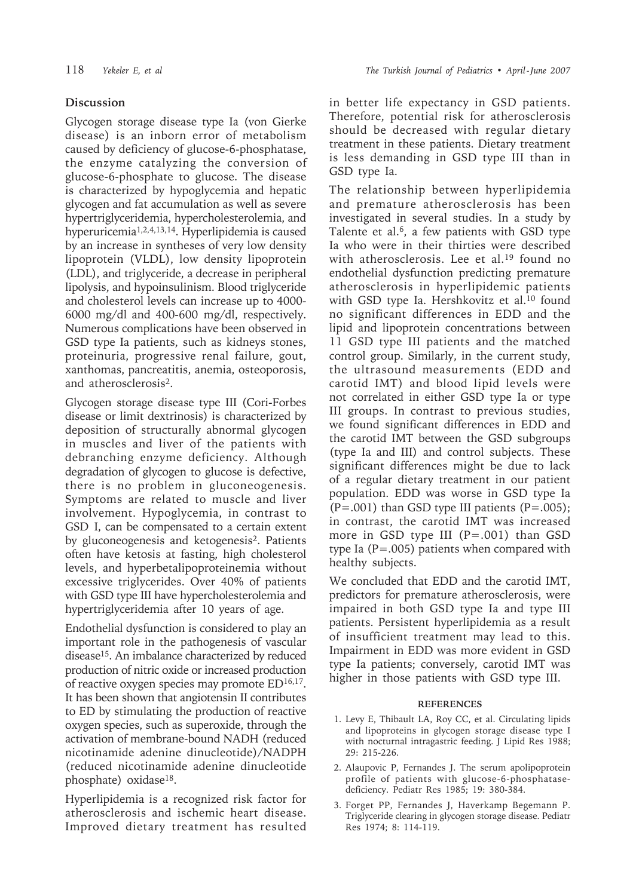## **Discussion**

Glycogen storage disease type Ia (von Gierke disease) is an inborn error of metabolism caused by deficiency of glucose-6-phosphatase, the enzyme catalyzing the conversion of glucose-6-phosphate to glucose. The disease is characterized by hypoglycemia and hepatic glycogen and fat accumulation as well as severe hypertriglyceridemia, hypercholesterolemia, and hyperuricemia1,2,4,13,14. Hyperlipidemia is caused by an increase in syntheses of very low density lipoprotein (VLDL), low density lipoprotein (LDL), and triglyceride, a decrease in peripheral lipolysis, and hypoinsulinism. Blood triglyceride and cholesterol levels can increase up to 4000- 6000 mg/dl and 400-600 mg/dl, respectively. Numerous complications have been observed in GSD type Ia patients, such as kidneys stones, proteinuria, progressive renal failure, gout, xanthomas, pancreatitis, anemia, osteoporosis, and atherosclerosis2.

Glycogen storage disease type III (Cori-Forbes disease or limit dextrinosis) is characterized by deposition of structurally abnormal glycogen in muscles and liver of the patients with debranching enzyme deficiency. Although degradation of glycogen to glucose is defective, there is no problem in gluconeogenesis. Symptoms are related to muscle and liver involvement. Hypoglycemia, in contrast to GSD I, can be compensated to a certain extent by gluconeogenesis and ketogenesis2. Patients often have ketosis at fasting, high cholesterol levels, and hyperbetalipoproteinemia without excessive triglycerides. Over 40% of patients with GSD type III have hypercholesterolemia and hypertriglyceridemia after 10 years of age.

Endothelial dysfunction is considered to play an important role in the pathogenesis of vascular disease15. An imbalance characterized by reduced production of nitric oxide or increased production of reactive oxygen species may promote ED<sup>16,17</sup>. It has been shown that angiotensin II contributes to ED by stimulating the production of reactive oxygen species, such as superoxide, through the activation of membrane-bound NADH (reduced nicotinamide adenine dinucleotide)/NADPH (reduced nicotinamide adenine dinucleotide phosphate) oxidase18.

Hyperlipidemia is a recognized risk factor for atherosclerosis and ischemic heart disease. Improved dietary treatment has resulted in better life expectancy in GSD patients. Therefore, potential risk for atherosclerosis should be decreased with regular dietary treatment in these patients. Dietary treatment is less demanding in GSD type III than in GSD type Ia.

The relationship between hyperlipidemia and premature atherosclerosis has been investigated in several studies. In a study by Talente et al.<sup>6</sup>, a few patients with GSD type Ia who were in their thirties were described with atherosclerosis. Lee et al.19 found no endothelial dysfunction predicting premature atherosclerosis in hyperlipidemic patients with GSD type Ia. Hershkovitz et al.<sup>10</sup> found no significant differences in EDD and the lipid and lipoprotein concentrations between 11 GSD type III patients and the matched control group. Similarly, in the current study, the ultrasound measurements (EDD and carotid IMT) and blood lipid levels were not correlated in either GSD type Ia or type III groups. In contrast to previous studies, we found significant differences in EDD and the carotid IMT between the GSD subgroups (type Ia and III) and control subjects. These significant differences might be due to lack of a regular dietary treatment in our patient population. EDD was worse in GSD type Ia  $(P=.001)$  than GSD type III patients  $(P=.005)$ ; in contrast, the carotid IMT was increased more in GSD type III  $(P=.001)$  than GSD type Ia ( $P = .005$ ) patients when compared with healthy subjects.

We concluded that EDD and the carotid IMT, predictors for premature atherosclerosis, were impaired in both GSD type Ia and type III patients. Persistent hyperlipidemia as a result of insufficient treatment may lead to this. Impairment in EDD was more evident in GSD type Ia patients; conversely, carotid IMT was higher in those patients with GSD type III.

#### **REFERENCES**

- 1. Levy E, Thibault LA, Roy CC, et al. Circulating lipids and lipoproteins in glycogen storage disease type I with nocturnal intragastric feeding. J Lipid Res 1988; 29: 215-226.
- 2. Alaupovic P, Fernandes J. The serum apolipoprotein profile of patients with glucose-6-phosphatasedeficiency. Pediatr Res 1985; 19: 380-384.
- 3. Forget PP, Fernandes J, Haverkamp Begemann P. Triglyceride clearing in glycogen storage disease. Pediatr Res 1974; 8: 114-119.